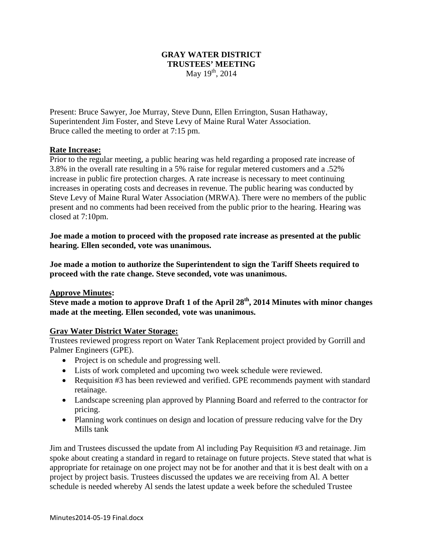#### **GRAY WATER DISTRICT TRUSTEES' MEETING**  May  $19^{th}$ , 2014

Present: Bruce Sawyer, Joe Murray, Steve Dunn, Ellen Errington, Susan Hathaway, Superintendent Jim Foster, and Steve Levy of Maine Rural Water Association. Bruce called the meeting to order at 7:15 pm.

#### **Rate Increase:**

Prior to the regular meeting, a public hearing was held regarding a proposed rate increase of 3.8% in the overall rate resulting in a 5% raise for regular metered customers and a .52% increase in public fire protection charges. A rate increase is necessary to meet continuing increases in operating costs and decreases in revenue. The public hearing was conducted by Steve Levy of Maine Rural Water Association (MRWA). There were no members of the public present and no comments had been received from the public prior to the hearing. Hearing was closed at 7:10pm.

**Joe made a motion to proceed with the proposed rate increase as presented at the public hearing. Ellen seconded, vote was unanimous.** 

**Joe made a motion to authorize the Superintendent to sign the Tariff Sheets required to proceed with the rate change. Steve seconded, vote was unanimous.** 

#### **Approve Minutes:**

**Steve made a motion to approve Draft 1 of the April 28th, 2014 Minutes with minor changes made at the meeting. Ellen seconded, vote was unanimous.** 

# **Gray Water District Water Storage:**

Trustees reviewed progress report on Water Tank Replacement project provided by Gorrill and Palmer Engineers (GPE).

- Project is on schedule and progressing well.
- Lists of work completed and upcoming two week schedule were reviewed.
- Requisition #3 has been reviewed and verified. GPE recommends payment with standard retainage.
- Landscape screening plan approved by Planning Board and referred to the contractor for pricing.
- Planning work continues on design and location of pressure reducing valve for the Dry Mills tank

Jim and Trustees discussed the update from Al including Pay Requisition #3 and retainage. Jim spoke about creating a standard in regard to retainage on future projects. Steve stated that what is appropriate for retainage on one project may not be for another and that it is best dealt with on a project by project basis. Trustees discussed the updates we are receiving from Al. A better schedule is needed whereby Al sends the latest update a week before the scheduled Trustee